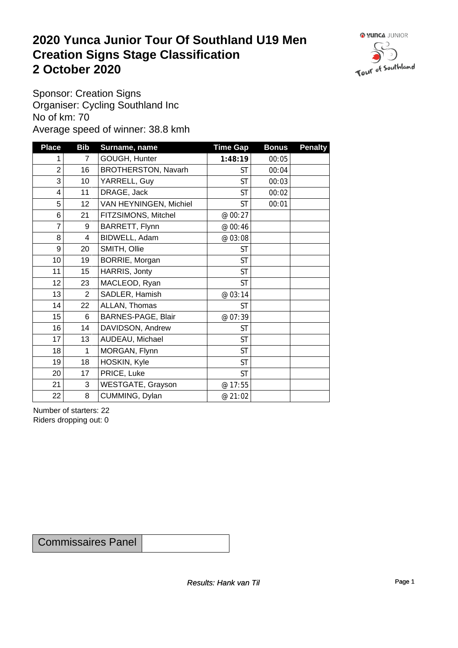### **2020 Yunca Junior Tour Of Southland U19 Men Creation Signs Stage Classification**<br>
2 October 2020 **2 October 2020**



Sponsor: Creation Signs Organiser: Cycling Southland Inc No of km: 70 Average speed of winner: 38.8 kmh

| <b>Place</b>    | <b>Bib</b>      | Surname, name          | <b>Time Gap</b> | <b>Bonus</b> | <b>Penalty</b> |
|-----------------|-----------------|------------------------|-----------------|--------------|----------------|
| 1               | $\overline{7}$  | GOUGH, Hunter          | 1:48:19         | 00:05        |                |
| $\overline{c}$  | 16              | BROTHERSTON, Navarh    | <b>ST</b>       | 00:04        |                |
| 3               | 10 <sup>1</sup> | YARRELL, Guy           | <b>ST</b>       | 00:03        |                |
| 4               | 11              | DRAGE, Jack            | <b>ST</b>       | 00:02        |                |
| 5               | 12 <sub>2</sub> | VAN HEYNINGEN, Michiel | <b>ST</b>       | 00:01        |                |
| $\,6$           | 21              | FITZSIMONS, Mitchel    | @ 00:27         |              |                |
| 7               | 9               | BARRETT, Flynn         | @ 00:46         |              |                |
| 8               | 4               | BIDWELL, Adam          | @ 03:08         |              |                |
| $9\,$           | 20              | SMITH, Ollie           | <b>ST</b>       |              |                |
| 10 <sup>1</sup> | 19              | BORRIE, Morgan         | <b>ST</b>       |              |                |
| 11              | 15              | HARRIS, Jonty          | <b>ST</b>       |              |                |
| 12 <sub>2</sub> | 23              | MACLEOD, Ryan          | <b>ST</b>       |              |                |
| 13              | $\overline{2}$  | SADLER, Hamish         | @ 03:14         |              |                |
| 14              | 22              | ALLAN, Thomas          | <b>ST</b>       |              |                |
| 15              | 6               | BARNES-PAGE, Blair     | @ 07:39         |              |                |
| 16              | 14              | DAVIDSON, Andrew       | <b>ST</b>       |              |                |
| 17              | 13              | AUDEAU, Michael        | <b>ST</b>       |              |                |
| 18              | 1               | MORGAN, Flynn          | <b>ST</b>       |              |                |
| 19              | 18              | HOSKIN, Kyle           | <b>ST</b>       |              |                |
| 20              | 17              | PRICE, Luke            | <b>ST</b>       |              |                |
| 21              | 3               | WESTGATE, Grayson      | @ 17:55         |              |                |
| 22              | 8               | CUMMING, Dylan         | @ 21:02         |              |                |

Number of starters: 22 Riders dropping out: 0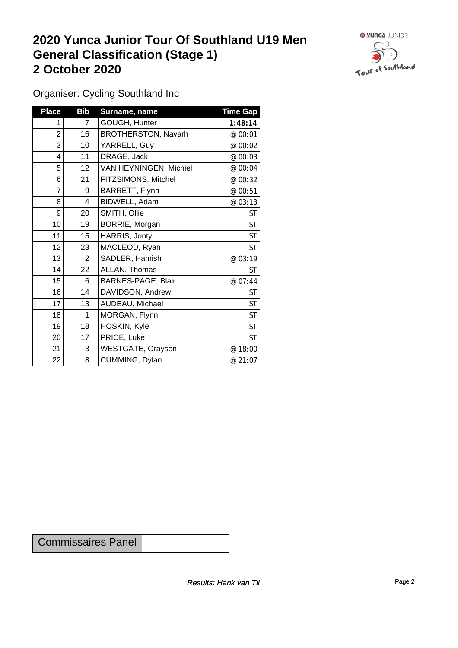## **2020 Yunca Junior Tour Of Southland U19 Men General Classification (Stage 1)**<br>
2 October 2020 **2 October 2020**



Organiser: Cycling Southland Inc

| <b>Place</b> | <b>Bib</b>      | Surname, name              | <b>Time Gap</b> |
|--------------|-----------------|----------------------------|-----------------|
|              | $\overline{7}$  | GOUGH, Hunter              | 1:48:14         |
| 2            | 16              | <b>BROTHERSTON, Navarh</b> | @ 00:01         |
| 3            | 10 <sub>1</sub> | YARRELL, Guy               | @ 00:02         |
| 4            | 11              | DRAGE, Jack                | @ 00:03         |
| 5            | 12 <sup>2</sup> | VAN HEYNINGEN, Michiel     | @ 00:04         |
| 6            | 21              | FITZSIMONS, Mitchel        | @ 00:32         |
| 7            | 9               | BARRETT, Flynn             | @ 00:51         |
| 8            | 4               | BIDWELL, Adam              | @ 03:13         |
| 9            | 20              | SMITH, Ollie               | <b>ST</b>       |
| 10           | 19              | BORRIE, Morgan             | <b>ST</b>       |
| 11           | 15              | HARRIS, Jonty              | <b>ST</b>       |
| 12           | 23              | MACLEOD, Ryan              | <b>ST</b>       |
| 13           | $\overline{2}$  | SADLER, Hamish             | @ 03:19         |
| 14           | 22              | ALLAN, Thomas              | <b>ST</b>       |
| 15           | 6               | BARNES-PAGE, Blair         | @ 07:44         |
| 16           | 14              | DAVIDSON, Andrew           | <b>ST</b>       |
| 17           | 13              | AUDEAU, Michael            | <b>ST</b>       |
| 18           | 1               | MORGAN, Flynn              | ST              |
| 19           | 18              | HOSKIN, Kyle               | <b>ST</b>       |
| 20           | 17              | PRICE, Luke                | <b>ST</b>       |
| 21           | 3               | <b>WESTGATE, Grayson</b>   | @ 18:00         |
| 22           | 8               | CUMMING, Dylan             | @ 21:07         |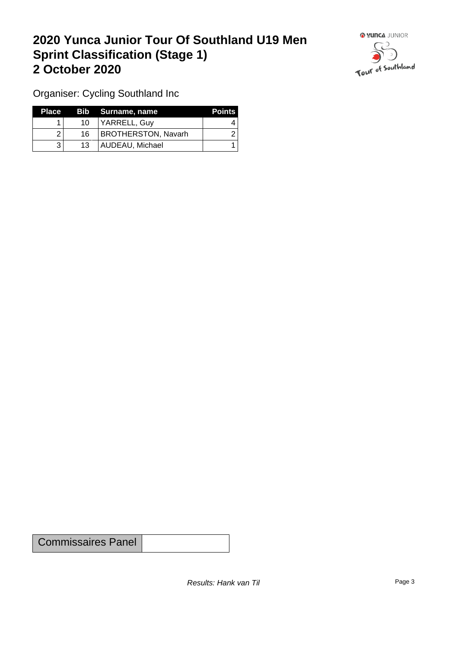## **2020 Yunca Junior Tour Of Southland U19 Men Sprint Classification (Stage 1) 2 October 2020**



Organiser: Cycling Southland Inc

| 'Place i |    | Bib Surname, name          | <b>Points</b> |
|----------|----|----------------------------|---------------|
|          | 10 | YARRELL, Guy               |               |
|          | 16 | <b>BROTHERSTON, Navarh</b> |               |
|          | 13 | AUDEAU, Michael            |               |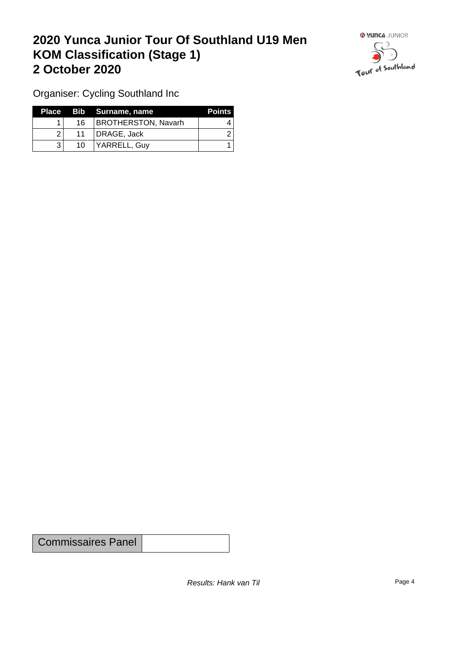## **2020 Yunca Junior Tour Of Southland U19 Men KOM Classification (Stage 1) 2 October 2020**



Organiser: Cycling Southland Inc

|   |    | Place Bib Surname, name    | <b>Points</b> |
|---|----|----------------------------|---------------|
|   | 16 | <b>BROTHERSTON, Navarh</b> |               |
| າ | 11 | DRAGE, Jack                |               |
|   | 10 | YARRELL, Guy               |               |